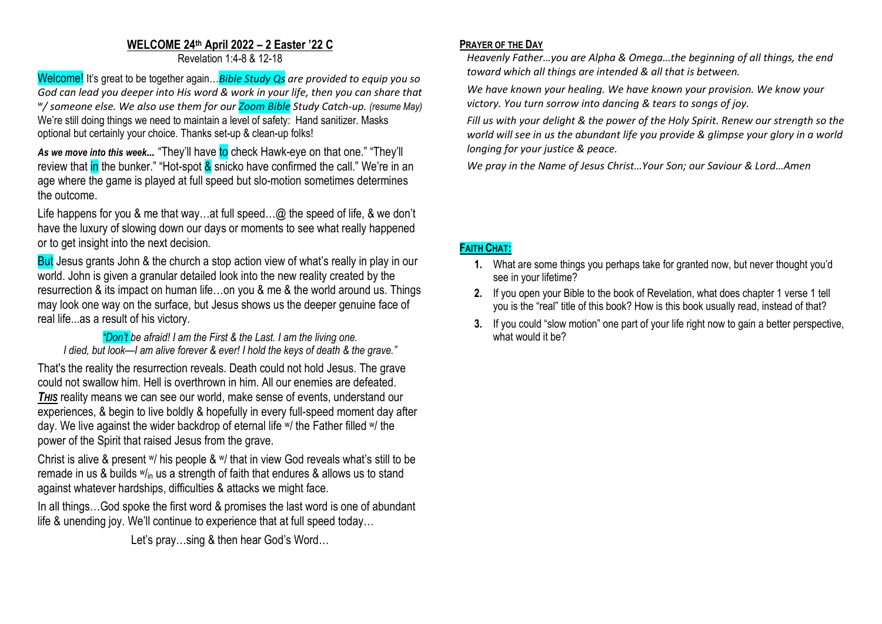# **WELCOME 24th April 2022 – 2 Easter '22 C**

Revelation 1:4-8 & 12-18

Welcome! It's great to be together again…*Bible Study Qs are provided to equip you so God can lead you deeper into His word & work in your life, then you can share that w / someone else. We also use them for our Zoom Bible Study Catch-up. (resume May)*  We're still doing things we need to maintain a level of safety: Hand sanitizer. Masks optional but certainly your choice. Thanks set-up & clean-up folks!

*As we move into this week…* "They'll have to check Hawk-eye on that one." "They'll review that in the bunker." "Hot-spot  $\&$  snicko have confirmed the call." We're in an age where the game is played at full speed but slo-motion sometimes determines the outcome.

Life happens for you & me that way...at full speed...@ the speed of life, & we don't have the luxury of slowing down our days or moments to see what really happened or to get insight into the next decision.

But Jesus grants John & the church a stop action view of what's really in play in our world. John is given a granular detailed look into the new reality created by the resurrection & its impact on human life…on you & me & the world around us. Things may look one way on the surface, but Jesus shows us the deeper genuine face of real life...as a result of his victory.

*"Don't be afraid! I am the First & the Last. I am the living one. I died, but look—I am alive forever & ever! I hold the keys of death & the grave."*

That's the reality the resurrection reveals. Death could not hold Jesus. The grave could not swallow him. Hell is overthrown in him. All our enemies are defeated. *THIS* reality means we can see our world, make sense of events, understand our experiences, & begin to live boldly & hopefully in every full-speed moment day after day. We live against the wider backdrop of eternal life w/ the Father filled w/ the power of the Spirit that raised Jesus from the grave.

Christ is alive & present w/ his people & w/ that in view God reveals what's still to be remade in us & builds  $w_{in}$  us a strength of faith that endures & allows us to stand against whatever hardships, difficulties & attacks we might face.

In all things…God spoke the first word & promises the last word is one of abundant life & unending joy. We'll continue to experience that at full speed today…

Let's pray…sing & then hear God's Word…

### **PRAYER OF THE DAY**

*Heavenly Father…you are Alpha & Omega…the beginning of all things, the end toward which all things are intended & all that is between.*

*We have known your healing. We have known your provision. We know your victory. You turn sorrow into dancing & tears to songs of joy.*

*Fill us with your delight & the power of the Holy Spirit. Renew our strength so the world will see in us the abundant life you provide & glimpse your glory in a world longing for your justice & peace.* 

*We pray in the Name of Jesus Christ…Your Son; our Saviour & Lord…Amen*

## **FAITH CHAT:**

- **1.** What are some things you perhaps take for granted now, but never thought you'd see in your lifetime?
- **2.** If you open your Bible to the book of Revelation, what does chapter 1 verse 1 tell you is the "real" title of this book? How is this book usually read, instead of that?
- **3.** If you could "slow motion" one part of your life right now to gain a better perspective, what would it be?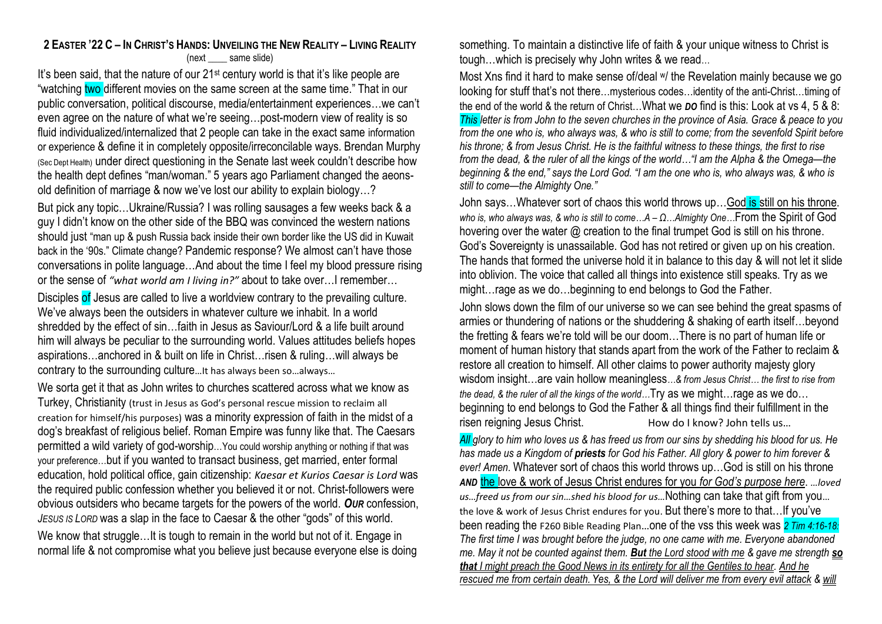### 2 EASTER '22 C - IN CHRIST'S HANDS: UNVEILING THE NEW REALITY - LIVING REALITY (next \_\_\_\_ same slide)

It's been said, that the nature of our 21<sup>st</sup> century world is that it's like people are "watching two different movies on the same screen at the same time." That in our public conversation, political discourse, media/entertainment experiences…we can't even agree on the nature of what we're seeing…post-modern view of reality is so fluid individualized/internalized that 2 people can take in the exact same information or experience & define it in completely opposite/irreconcilable ways. Brendan Murphy (Sec Dept Health) under direct questioning in the Senate last week couldn't describe how the health dept defines "man/woman." 5 years ago Parliament changed the aeonsold definition of marriage & now we've lost our ability to explain biology…?

But pick any topic…Ukraine/Russia? I was rolling sausages a few weeks back & a guy I didn't know on the other side of the BBQ was convinced the western nations should just "man up & push Russia back inside their own border like the US did in Kuwait back in the '90s." Climate change? Pandemic response? We almost can't have those conversations in polite language…And about the time I feel my blood pressure rising or the sense of *"what world am I living in?"* about to take over…I remember…

Disciples of Jesus are called to live a worldview contrary to the prevailing culture. We've always been the outsiders in whatever culture we inhabit. In a world shredded by the effect of sin…faith in Jesus as Saviour/Lord & a life built around him will always be peculiar to the surrounding world. Values attitudes beliefs hopes aspirations…anchored in & built on life in Christ…risen & ruling…will always be contrary to the surrounding culture…It has always been so…always…

We sorta get it that as John writes to churches scattered across what we know as Turkey, Christianity (trust in Jesus as God's personal rescue mission to reclaim all creation for himself/his purposes) was a minority expression of faith in the midst of a dog's breakfast of religious belief. Roman Empire was funny like that. The Caesars permitted a wild variety of god-worship…You could worship anything or nothing if that was your preference…but if you wanted to transact business, get married, enter formal education, hold political office, gain citizenship: *Kaesar et Kurios Caesar is Lord* was the required public confession whether you believed it or not. Christ-followers were obvious outsiders who became targets for the powers of the world. *OUR* confession, *JESUS IS LORD* was a slap in the face to Caesar & the other "gods" of this world.

We know that struggle...It is tough to remain in the world but not of it. Engage in normal life & not compromise what you believe just because everyone else is doing something. To maintain a distinctive life of faith & your unique witness to Christ is tough…which is precisely why John writes & we read…

Most Xns find it hard to make sense of/deal W the Revelation mainly because we go looking for stuff that's not there…mysterious codes…identity of the anti-Christ…timing of the end of the world & the return of Christ…What we *DO* find is this: Look at vs 4, 5 & 8: *This letter is from John to the seven churches in the province of Asia. Grace & peace to you from the one who is, who always was, & who is still to come; from the sevenfold Spirit before his throne; & from Jesus Christ. He is the faithful witness to these things, the first to rise from the dead, & the ruler of all the kings of the world…"I am the Alpha & the Omega—the beginning & the end," says the Lord God. "I am the one who is, who always was, & who is still to come—the Almighty One."*

John says... Whatever sort of chaos this world throws up... God is still on his throne. *who is, who always was, & who is still to come…Α – Ω…Almighty One…*From the Spirit of God hovering over the water @ creation to the final trumpet God is still on his throne. God's Sovereignty is unassailable. God has not retired or given up on his creation. The hands that formed the universe hold it in balance to this day & will not let it slide into oblivion. The voice that called all things into existence still speaks. Try as we might…rage as we do…beginning to end belongs to God the Father.

John slows down the film of our universe so we can see behind the great spasms of armies or thundering of nations or the shuddering & shaking of earth itself…beyond the fretting & fears we're told will be our doom…There is no part of human life or moment of human history that stands apart from the work of the Father to reclaim & restore all creation to himself. All other claims to power authority majesty glory wisdom insight…are vain hollow meaningless*…& from Jesus Christ… the first to rise from the dead, & the ruler of all the kings of the world…*Try as we might…rage as we do… beginning to end belongs to God the Father & all things find their fulfillment in the risen reigning Jesus Christ. How do I know? John tells us…

*All glory to him who loves us & has freed us from our sins by shedding his blood for us. He has made us a Kingdom of priests for God his Father. All glory & power to him forever & ever! Amen*. Whatever sort of chaos this world throws up…God is still on his throne *AND* the love & work of Jesus Christ endures for you *for God's purpose here*. *…loved us…freed us from our sin…shed his blood for us…*Nothing can take that gift from you… the love & work of Jesus Christ endures for you. But there's more to that…If you've been reading the F260 Bible Reading Plan…one of the vss this week was *2 Tim 4:16-18: The first time I was brought before the judge, no one came with me. Everyone abandoned me. May it not be counted against them. But the Lord stood with me & gave me strength so that I might preach the Good News in its entirety for all the Gentiles to hear. And he rescued me from certain death. Yes, & the Lord will deliver me from every evil attack & will*